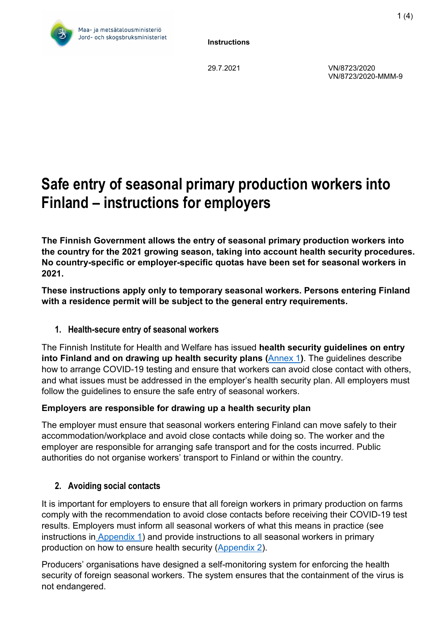

29.7.2021 VN/8723/2020 VN/8723/2020-MMM-9

# **Safe entry of seasonal primary production workers into Finland – instructions for employers**

**The Finnish Government allows the entry of seasonal primary production workers into the country for the 2021 growing season, taking into account health security procedures. No country-specific or employer-specific quotas have been set for seasonal workers in 2021.** 

**These instructions apply only to temporary seasonal workers. Persons entering Finland with a residence permit will be subject to the general entry requirements.** 

## **1. Health-secure entry of seasonal workers**

The Finnish Institute for Health and Welfare has issued **health security guidelines on entry into Finland and on drawing up health security plans (**[Annex 1](https://mmm.fi/documents/1410837/60933869/Employer+instructions+for+health-secure+entry%2C+quarantine+and+for+the+preparation+of+a+health+security+plan+for+seasonal+workers+in+primary+production+9.3.2021.pdf/d47b5cb3-94ef-72a0-0f32-4efb2b535b8c/Employer+instructions+for+health-secure+entry%2C+quarantine+and+for+the+preparation+of+a+health+security+plan+for+seasonal+workers+in+primary+production+9.3.2021.pdf?t=1615359352808)**)**. The guidelines describe how to arrange COVID-19 testing and ensure that workers can avoid close contact with others, and what issues must be addressed in the employer's health security plan. All employers must follow the guidelines to ensure the safe entry of seasonal workers.

#### **Employers are responsible for drawing up a health security plan**

The employer must ensure that seasonal workers entering Finland can move safely to their accommodation/workplace and avoid close contacts while doing so. The worker and the employer are responsible for arranging safe transport and for the costs incurred. Public authorities do not organise workers' transport to Finland or within the country.

## **2. Avoiding social contacts**

It is important for employers to ensure that all foreign workers in primary production on farms comply with the recommendation to avoid close contacts before receiving their COVID-19 test results. Employers must inform all seasonal workers of what this means in practice (see instructions in [Appendix 1\)](https://mmm.fi/documents/1410837/60933869/Employer+instructions+for+health-secure+entry%2C+quarantine+and+for+the+preparation+of+a+health+security+plan+for+seasonal+workers+in+primary+production+9.3.2021.pdf/d47b5cb3-94ef-72a0-0f32-4efb2b535b8c/Employer+instructions+for+health-secure+entry%2C+quarantine+and+for+the+preparation+of+a+health+security+plan+for+seasonal+workers+in+primary+production+9.3.2021.pdf?t=1615359352808) and provide instructions to all seasonal workers in primary production on how to ensure health security [\(Appendix 2\)](https://mmm.fi/documents/1410837/60933869/COVID-19%3B+Health+security+instructions+for+seasonal+workers+in+primary+production.pdf/568643c5-885e-92f4-bb60-42afbd6e5339/COVID-19%3B+Health+security+instructions+for+seasonal+workers+in+primary+production.pdf?t=1615360447192).

Producers' organisations have designed a self-monitoring system for enforcing the health security of foreign seasonal workers. The system ensures that the containment of the virus is not endangered.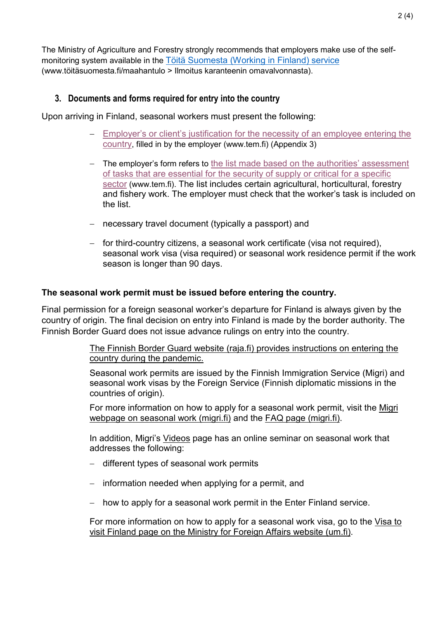The Ministry of Agriculture and Forestry strongly recommends that employers make use of the selfmonitoring system available in the [Töitä Suomesta \(Working in Finland\) service](https://www.t%C3%B6it%C3%A4suomesta.fi/for-job-seeker-en/) (www.töitäsuomesta.fi/maahantulo > Ilmoitus karanteenin omavalvonnasta).

#### **3. Documents and forms required for entry into the country**

Upon arriving in Finland, seasonal workers must present the following:

- − [Employer's or client's justification for the necessity of an employee entering the](https://tem.fi/documents/1410877/21219682/TEM_10022021_tyonantajan_perustelut_maahantulo_fi_en_sv.pdf/279609e2-ca2d-464f-c2f0-6432f4ba3b7d/TEM_10022021_tyonantajan_perustelut_maahantulo_fi_en_sv.pdf?t=1613028905579)  [country,](https://tem.fi/documents/1410877/21219682/TEM_10022021_tyonantajan_perustelut_maahantulo_fi_en_sv.pdf/279609e2-ca2d-464f-c2f0-6432f4ba3b7d/TEM_10022021_tyonantajan_perustelut_maahantulo_fi_en_sv.pdf?t=1613028905579) filled in by the employer (www.tem.fi) (Appendix 3)
- − The employer's form refers to [the list made based on the authorities' assessment](https://tem.fi/documents/1410877/21219682/Kriittiset_tyotehtavat_25012021_FI.pdf/d147fe96-ee49-cf7e-4fe6-49cefa1def7e/Kriittiset_tyotehtavat_25012021_FI.pdf/Kriittiset_tyotehtavat_25012021_FI.pdf?t=1611578441631)  [of tasks that are essential for the security of supply or critical for a specific](https://tem.fi/documents/1410877/21219682/Kriittiset_tyotehtavat_25012021_FI.pdf/d147fe96-ee49-cf7e-4fe6-49cefa1def7e/Kriittiset_tyotehtavat_25012021_FI.pdf/Kriittiset_tyotehtavat_25012021_FI.pdf?t=1611578441631)  [sector](https://tem.fi/documents/1410877/21219682/Kriittiset_tyotehtavat_25012021_FI.pdf/d147fe96-ee49-cf7e-4fe6-49cefa1def7e/Kriittiset_tyotehtavat_25012021_FI.pdf/Kriittiset_tyotehtavat_25012021_FI.pdf?t=1611578441631) (www.tem.fi). The list includes certain agricultural, horticultural, forestry and fishery work. The employer must check that the worker's task is included on the list.
- − necessary travel document (typically a passport) and
- − for third-country citizens, a seasonal work certificate (visa not required), seasonal work visa (visa required) or seasonal work residence permit if the work season is longer than 90 days.

#### **The seasonal work permit must be issued before entering the country.**

Final permission for a foreign seasonal worker's departure for Finland is always given by the country of origin. The final decision on entry into Finland is made by the border authority. The Finnish Border Guard does not issue advance rulings on entry into the country.

> [The Finnish Border Guard website \(raja.fi\) provides instructions on entering the](https://raja.fi/en/guidelines-for-border-traffic-during-pandemic)  [country during the pandemic.](https://raja.fi/en/guidelines-for-border-traffic-during-pandemic)

Seasonal work permits are issued by the Finnish Immigration Service (Migri) and seasonal work visas by the Foreign Service (Finnish diplomatic missions in the countries of origin).

For more information on how to apply for a seasonal work permit, visit the [Migri](https://migri.fi/en/seasonal-work)  [webpage on seasonal work \(migri.fi\)](https://migri.fi/en/seasonal-work) and the [FAQ page \(migri.fi\).](https://migri.fi/en/faq-seasonal-work)

In addition, Migri's [Videos](https://migri.fi/en/videos) page has an online seminar on seasonal work that addresses the following:

- − different types of seasonal work permits
- − information needed when applying for a permit, and
- − how to apply for a seasonal work permit in the Enter Finland service.

For more information on how to apply for a seasonal work visa, go to the [Visa to](https://um.fi/visa-to-visit-finland#Viisumityypit)  [visit Finland page on the Ministry for Foreign Affairs website \(um.fi\).](https://um.fi/visa-to-visit-finland#Viisumityypit)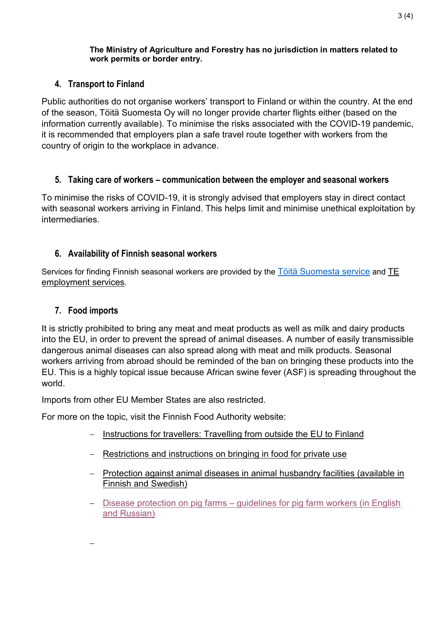#### **The Ministry of Agriculture and Forestry has no jurisdiction in matters related to work permits or border entry.**

## **4. Transport to Finland**

Public authorities do not organise workers' transport to Finland or within the country. At the end of the season, Töitä Suomesta Oy will no longer provide charter flights either (based on the information currently available). To minimise the risks associated with the COVID-19 pandemic, it is recommended that employers plan a safe travel route together with workers from the country of origin to the workplace in advance.

## **5. Taking care of workers – communication between the employer and seasonal workers**

To minimise the risks of COVID-19, it is strongly advised that employers stay in direct contact with seasonal workers arriving in Finland. This helps limit and minimise unethical exploitation by intermediaries.

# **6. Availability of Finnish seasonal workers**

Services for finding Finnish seasonal workers are provided by the [Töitä Suomesta service](https://www.t%C3%B6it%C3%A4suomesta.fi/for-job-seeker-en/) and TE [employment services.](https://www.te-palvelut.fi/employers/find-an-employee)

## **7. Food imports**

−

It is strictly prohibited to bring any meat and meat products as well as milk and dairy products into the EU, in order to prevent the spread of animal diseases. A number of easily transmissible dangerous animal diseases can also spread along with meat and milk products. Seasonal workers arriving from abroad should be reminded of the ban on bringing these products into the EU. This is a highly topical issue because African swine fever (ASF) is spreading throughout the world.

Imports from other EU Member States are also restricted.

For more on the topic, visit the Finnish Food Authority website:

- − [Instructions for travellers: Travelling from outside the EU to Finland](https://www.ruokavirasto.fi/en/farmers/animal-husbandry/animal-health-and-diseases/animal-diseases/pigs/african-swine-fever-asf/for-travellers-about-african-swine-fever/travelling-from-outside-the-eu-to-finland/)
- − [Restrictions and instructions on bringing in food for private use](https://www.ruokavirasto.fi/en/private-persons/travellers/souveniers/food-for-private-use/)
- − [Protection against animal diseases in animal husbandry facilities \(available in](https://www.ruokavirasto.fi/viljelijat/elaintenpito/elainten-terveys-ja-elaintaudit/elaintautien-vastustaminen-ja-valvonta/elaintaudeilta-suojautuminen/)  [Finnish and Swedish\)](https://www.ruokavirasto.fi/viljelijat/elaintenpito/elainten-terveys-ja-elaintaudit/elaintautien-vastustaminen-ja-valvonta/elaintaudeilta-suojautuminen/)
- − Disease protection on pig farms [guidelines for pig farm workers \(in English](https://www.ruokavirasto.fi/globalassets/tietoa-meista/julkaisut/esitteet/elaimet/sikatilojen-tautisuojaus_rv_ett_en_ru.pdf)  [and Russian\)](https://www.ruokavirasto.fi/globalassets/tietoa-meista/julkaisut/esitteet/elaimet/sikatilojen-tautisuojaus_rv_ett_en_ru.pdf)